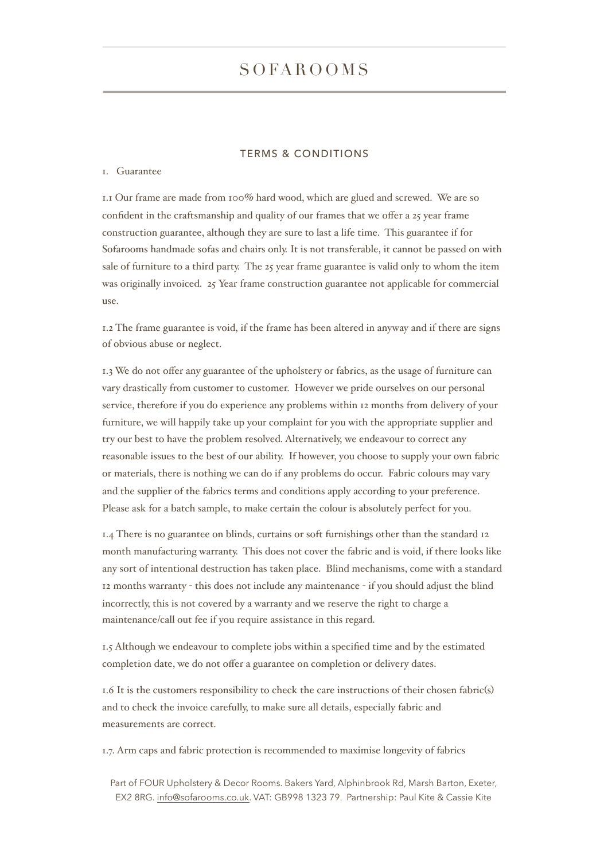# SOFAROOMS

## TERMS & CONDITIONS

#### 1. Guarantee

1.1 Our frame are made from 100% hard wood, which are glued and screwed. We are so confident in the craftsmanship and quality of our frames that we offer a 25 year frame construction guarantee, although they are sure to last a life time. This guarantee if for Sofarooms handmade sofas and chairs only. It is not transferable, it cannot be passed on with sale of furniture to a third party. The 25 year frame guarantee is valid only to whom the item was originally invoiced. 25 Year frame construction guarantee not applicable for commercial use.

1.2 The frame guarantee is void, if the frame has been altered in anyway and if there are signs of obvious abuse or neglect.

1.3 We do not offer any guarantee of the upholstery or fabrics, as the usage of furniture can vary drastically from customer to customer. However we pride ourselves on our personal service, therefore if you do experience any problems within 12 months from delivery of your furniture, we will happily take up your complaint for you with the appropriate supplier and try our best to have the problem resolved. Alternatively, we endeavour to correct any reasonable issues to the best of our ability. If however, you choose to supply your own fabric or materials, there is nothing we can do if any problems do occur. Fabric colours may vary and the supplier of the fabrics terms and conditions apply according to your preference. Please ask for a batch sample, to make certain the colour is absolutely perfect for you.

1.4 There is no guarantee on blinds, curtains or soft furnishings other than the standard 12 month manufacturing warranty. This does not cover the fabric and is void, if there looks like any sort of intentional destruction has taken place. Blind mechanisms, come with a standard 12 months warranty - this does not include any maintenance - if you should adjust the blind incorrectly, this is not covered by a warranty and we reserve the right to charge a maintenance/call out fee if you require assistance in this regard.

1.5 Although we endeavour to complete jobs within a specified time and by the estimated completion date, we do not offer a guarantee on completion or delivery dates.

1.6 It is the customers responsibility to check the care instructions of their chosen fabric(s) and to check the invoice carefully, to make sure all details, especially fabric and measurements are correct.

1.7. Arm caps and fabric protection is recommended to maximise longevity of fabrics

Part of FOUR Upholstery & Decor Rooms. Bakers Yard, Alphinbrook Rd, Marsh Barton, Exeter, EX2 8RG. [info@sofarooms.co.uk.](mailto:info@sofarooms.co.uk) VAT: GB998 1323 79. Partnership: Paul Kite & Cassie Kite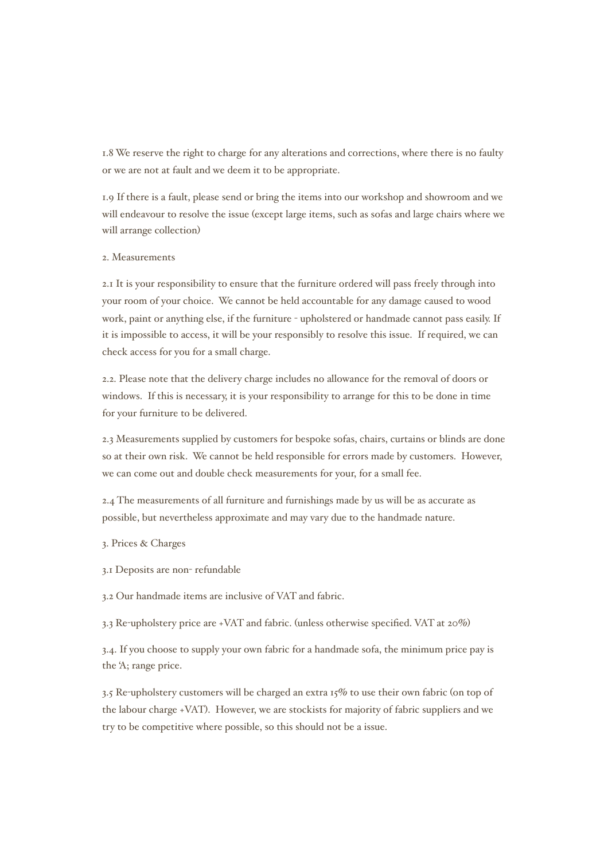1.8 We reserve the right to charge for any alterations and corrections, where there is no faulty or we are not at fault and we deem it to be appropriate.

1.9 If there is a fault, please send or bring the items into our workshop and showroom and we will endeavour to resolve the issue (except large items, such as sofas and large chairs where we will arrange collection)

## 2. Measurements

2.1 It is your responsibility to ensure that the furniture ordered will pass freely through into your room of your choice. We cannot be held accountable for any damage caused to wood work, paint or anything else, if the furniture - upholstered or handmade cannot pass easily. If it is impossible to access, it will be your responsibly to resolve this issue. If required, we can check access for you for a small charge.

2.2. Please note that the delivery charge includes no allowance for the removal of doors or windows. If this is necessary, it is your responsibility to arrange for this to be done in time for your furniture to be delivered.

2.3 Measurements supplied by customers for bespoke sofas, chairs, curtains or blinds are done so at their own risk. We cannot be held responsible for errors made by customers. However, we can come out and double check measurements for your, for a small fee.

2.4 The measurements of all furniture and furnishings made by us will be as accurate as possible, but nevertheless approximate and may vary due to the handmade nature.

3. Prices & Charges

3.1 Deposits are non- refundable

3.2 Our handmade items are inclusive of VAT and fabric.

3.3 Re-upholstery price are +VAT and fabric. (unless otherwise specified. VAT at 20%)

3.4. If you choose to supply your own fabric for a handmade sofa, the minimum price pay is the 'A; range price.

3.5 Re-upholstery customers will be charged an extra 15% to use their own fabric (on top of the labour charge +VAT). However, we are stockists for majority of fabric suppliers and we try to be competitive where possible, so this should not be a issue.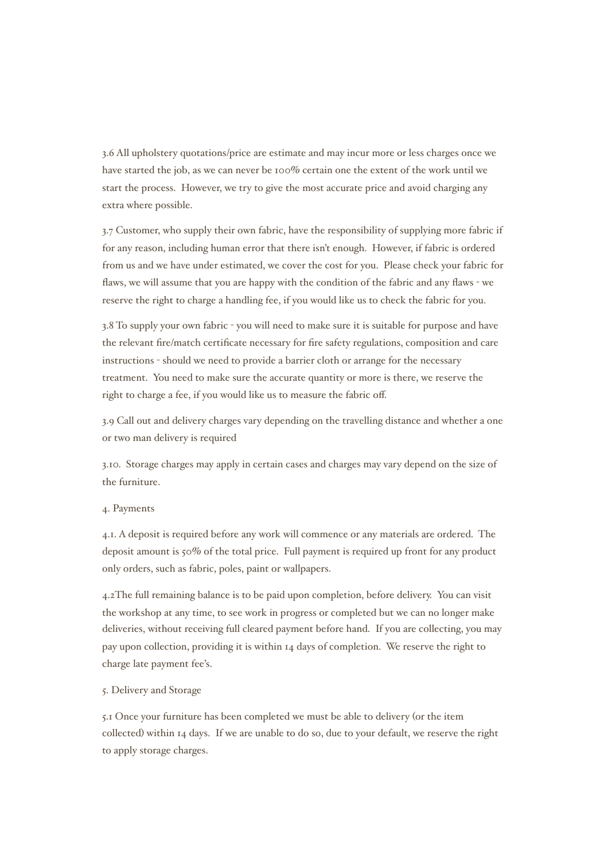3.6 All upholstery quotations/price are estimate and may incur more or less charges once we have started the job, as we can never be 100% certain one the extent of the work until we start the process. However, we try to give the most accurate price and avoid charging any extra where possible.

3.7 Customer, who supply their own fabric, have the responsibility of supplying more fabric if for any reason, including human error that there isn't enough. However, if fabric is ordered from us and we have under estimated, we cover the cost for you. Please check your fabric for flaws, we will assume that you are happy with the condition of the fabric and any flaws - we reserve the right to charge a handling fee, if you would like us to check the fabric for you.

3.8 To supply your own fabric - you will need to make sure it is suitable for purpose and have the relevant fire/match certificate necessary for fire safety regulations, composition and care instructions - should we need to provide a barrier cloth or arrange for the necessary treatment. You need to make sure the accurate quantity or more is there, we reserve the right to charge a fee, if you would like us to measure the fabric off.

3.9 Call out and delivery charges vary depending on the travelling distance and whether a one or two man delivery is required

3.10. Storage charges may apply in certain cases and charges may vary depend on the size of the furniture.

#### 4. Payments

4.1. A deposit is required before any work will commence or any materials are ordered. The deposit amount is 50% of the total price. Full payment is required up front for any product only orders, such as fabric, poles, paint or wallpapers.

4.2The full remaining balance is to be paid upon completion, before delivery. You can visit the workshop at any time, to see work in progress or completed but we can no longer make deliveries, without receiving full cleared payment before hand. If you are collecting, you may pay upon collection, providing it is within 14 days of completion. We reserve the right to charge late payment fee's.

## 5. Delivery and Storage

5.1 Once your furniture has been completed we must be able to delivery (or the item collected) within 14 days. If we are unable to do so, due to your default, we reserve the right to apply storage charges.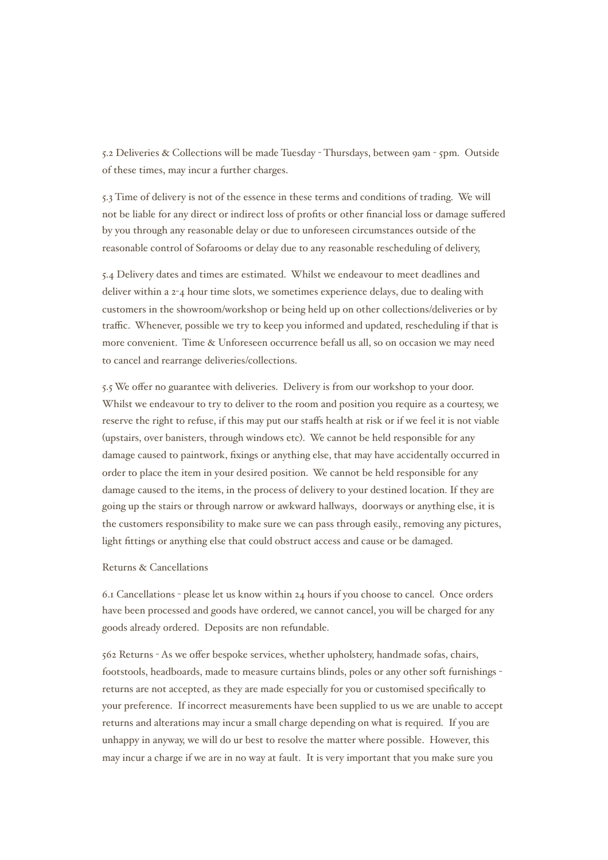5.2 Deliveries & Collections will be made Tuesday - Thursdays, between 9am - 5pm. Outside of these times, may incur a further charges.

5.3 Time of delivery is not of the essence in these terms and conditions of trading. We will not be liable for any direct or indirect loss of profits or other financial loss or damage suffered by you through any reasonable delay or due to unforeseen circumstances outside of the reasonable control of Sofarooms or delay due to any reasonable rescheduling of delivery,

5.4 Delivery dates and times are estimated. Whilst we endeavour to meet deadlines and deliver within a  $2-4$  hour time slots, we sometimes experience delays, due to dealing with customers in the showroom/workshop or being held up on other collections/deliveries or by traffic. Whenever, possible we try to keep you informed and updated, rescheduling if that is more convenient. Time & Unforeseen occurrence befall us all, so on occasion we may need to cancel and rearrange deliveries/collections.

5.5 We offer no guarantee with deliveries. Delivery is from our workshop to your door. Whilst we endeavour to try to deliver to the room and position you require as a courtesy, we reserve the right to refuse, if this may put our staffs health at risk or if we feel it is not viable (upstairs, over banisters, through windows etc). We cannot be held responsible for any damage caused to paintwork, fixings or anything else, that may have accidentally occurred in order to place the item in your desired position. We cannot be held responsible for any damage caused to the items, in the process of delivery to your destined location. If they are going up the stairs or through narrow or awkward hallways, doorways or anything else, it is the customers responsibility to make sure we can pass through easily., removing any pictures, light fittings or anything else that could obstruct access and cause or be damaged.

#### Returns & Cancellations

6.1 Cancellations - please let us know within 24 hours if you choose to cancel. Once orders have been processed and goods have ordered, we cannot cancel, you will be charged for any goods already ordered. Deposits are non refundable.

562 Returns - As we offer bespoke services, whether upholstery, handmade sofas, chairs, footstools, headboards, made to measure curtains blinds, poles or any other soft furnishings returns are not accepted, as they are made especially for you or customised specifically to your preference. If incorrect measurements have been supplied to us we are unable to accept returns and alterations may incur a small charge depending on what is required. If you are unhappy in anyway, we will do ur best to resolve the matter where possible. However, this may incur a charge if we are in no way at fault. It is very important that you make sure you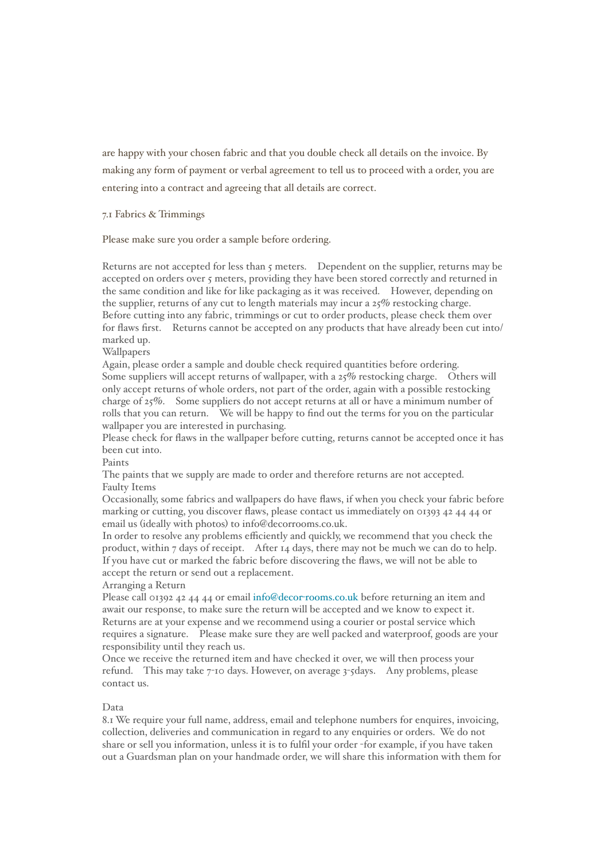are happy with your chosen fabric and that you double check all details on the invoice. By making any form of payment or verbal agreement to tell us to proceed with a order, you are entering into a contract and agreeing that all details are correct.

## 7.1 Fabrics & Trimmings

Please make sure you order a sample before ordering.

Returns are not accepted for less than 5 meters. Dependent on the supplier, returns may be accepted on orders over 5 meters, providing they have been stored correctly and returned in the same condition and like for like packaging as it was received. However, depending on the supplier, returns of any cut to length materials may incur a  $25\%$  restocking charge. Before cutting into any fabric, trimmings or cut to order products, please check them over for flaws first. Returns cannot be accepted on any products that have already been cut into/ marked up.

Wallpapers

Again, please order a sample and double check required quantities before ordering. Some suppliers will accept returns of wallpaper, with a 25% restocking charge. Others will only accept returns of whole orders, not part of the order, again with a possible restocking charge of 25%. Some suppliers do not accept returns at all or have a minimum number of rolls that you can return. We will be happy to find out the terms for you on the particular wallpaper you are interested in purchasing.

Please check for flaws in the wallpaper before cutting, returns cannot be accepted once it has been cut into.

Paints

The paints that we supply are made to order and therefore returns are not accepted. Faulty Items

Occasionally, some fabrics and wallpapers do have flaws, if when you check your fabric before marking or cutting, you discover flaws, please contact us immediately on 01393 42 44 44 or email us (ideally with photos) to info@decorrooms.co.uk.

In order to resolve any problems efficiently and quickly, we recommend that you check the product, within 7 days of receipt. After 14 days, there may not be much we can do to help. If you have cut or marked the fabric before discovering the flaws, we will not be able to accept the return or send out a replacement.

#### Arranging a Return

Please call 01392 42 44 44 or email info@decor-[rooms.co.uk](mailto:info@decor-rooms.co.uk) before returning an item and await our response, to make sure the return will be accepted and we know to expect it. Returns are at your expense and we recommend using a courier or postal service which requires a signature. Please make sure they are well packed and waterproof, goods are your responsibility until they reach us.

Once we receive the returned item and have checked it over, we will then process your refund. This may take 7-10 days. However, on average 3-5days. Any problems, please contact us.

## Data

8.1 We require your full name, address, email and telephone numbers for enquires, invoicing, collection, deliveries and communication in regard to any enquiries or orders. We do not share or sell you information, unless it is to fulfil your order -for example, if you have taken out a Guardsman plan on your handmade order, we will share this information with them for